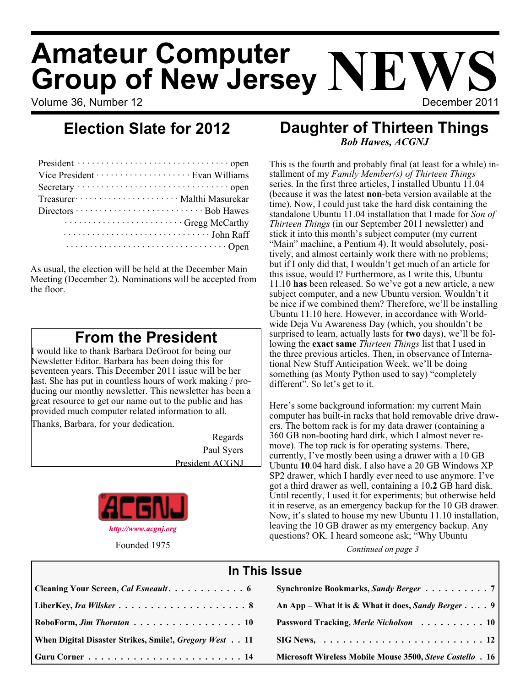# **Amateur Computer Group of New Jersey NEV**

Volume 36, Number 12 December 2011

### **Daughter of Thirteen Things** *Bob Hawes, ACGNJ*

This is the fourth and probably final (at least for a while) installment of my *Family Member(s) of Thirteen Things* series. In the first three articles, I installed Ubuntu 11.04 (because it was the latest **non**-beta version available at the time). Now, I could just take the hard disk containing the standalone Ubuntu 11.04 installation that I made for *Son of Thirteen Things* (in our September 2011 newsletter) and stick it into this month's subject computer (my current "Main" machine, a Pentium 4). It would absolutely, positively, and almost certainly work there with no problems; but if I only did that, I wouldn't get much of an article for this issue, would I? Furthermore, as I write this, Ubuntu 11.10 **has** been released. So we've got a new article, a new subject computer, and a new Ubuntu version. Wouldn't it be nice if we combined them? Therefore, we'll be installing Ubuntu 11.10 here. However, in accordance with Worldwide Deja Vu Awareness Day (which, you shouldn't be surprised to learn, actually lasts for **two** days), we'll be following the **exact same** *Thirteen Things* list that I used in the three previous articles. Then, in observance of International New Stuff Anticipation Week, we'll be doing something (as Monty Python used to say) "completely different". So let's get to it.

Here's some background information: my current Main computer has built-in racks that hold removable drive drawers. The bottom rack is for my data drawer (containing a 360 GB non-booting hard dirk, which I almost never remove). The top rack is for operating systems. There, currently, I've mostly been using a drawer with a 10 GB Ubuntu **10**.04 hard disk. I also have a 20 GB Windows XP SP2 drawer, which I hardly ever need to use anymore. I've got a third drawer as well, containing a 10**.2** GB hard disk. Until recently, I used it for experiments; but otherwise held it in reserve, as an emergency backup for the 10 GB drawer. Now, it's slated to house my new Ubuntu 11.10 installation, leaving the 10 GB drawer as my emergency backup. Any questions? OK. I heard someone ask; "Why Ubuntu

Founded 1975 *Continued on page 3*

| In This Issue                                          |                                                                               |  |  |  |
|--------------------------------------------------------|-------------------------------------------------------------------------------|--|--|--|
| Cleaning Your Screen, <i>Cal Esneault</i> 6            | Synchronize Bookmarks, Sandy Berger 7                                         |  |  |  |
|                                                        | An App – What it is & What it does, Sandy Berger $\dots$ , 9                  |  |  |  |
| RoboForm, Jim Thornton  10                             | Password Tracking, Merle Nicholson 10                                         |  |  |  |
| When Digital Disaster Strikes, Smile!, Gregory West 11 | $\text{SIG News}, \ldots \ldots \ldots \ldots \ldots \ldots \ldots \ldots 12$ |  |  |  |
|                                                        | Microsoft Wireless Mobile Mouse 3500, Steve Costello . 16                     |  |  |  |

## **Election Slate for 2012**

| Vice President ························ Evan Williams                          |
|--------------------------------------------------------------------------------|
|                                                                                |
| Treasurer ························· Malthi Masurekar                           |
|                                                                                |
| Gregg McCarthy                                                                 |
|                                                                                |
| $\cdots \cdots \cdots \cdots \cdots \cdots \cdots \cdots \cdots \cdots \cdots$ |

As usual, the election will be held at the December Main Meeting (December 2). Nominations will be accepted from the floor.

## **From the President**

I would like to thank Barbara DeGroot for being our Newsletter Editor. Barbara has been doing this for seventeen years. This December 2011 issue will be her last. She has put in countless hours of work making / producing our monthy newsletter. This newsletter has been a great resource to get our name out to the public and has provided much computer related information to all.

Thanks, Barbara, for your dedication.

Regards Paul Syers President ACGNJ

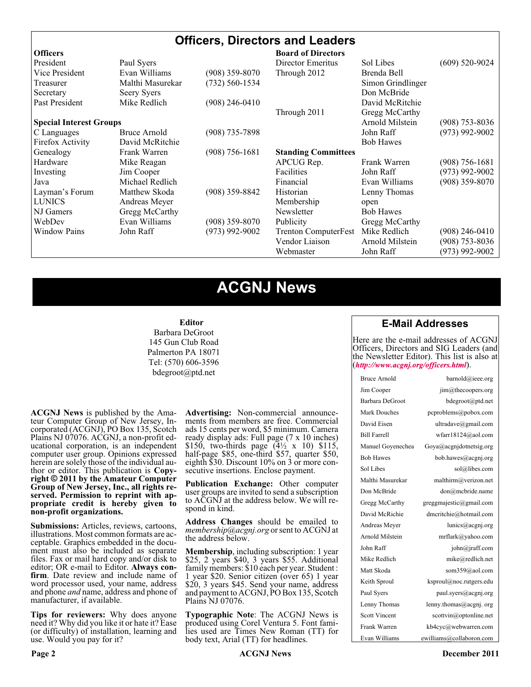#### **Officers, Directors and Leaders**

| <b>Officers</b>                |                  |                    | <b>Board of Directors</b>   |                   |                  |
|--------------------------------|------------------|--------------------|-----------------------------|-------------------|------------------|
| President                      | Paul Syers       |                    | Director Emeritus           | Sol Libes         | $(609)$ 520-9024 |
| Vice President                 | Evan Williams    | $(908)$ 359-8070   | Through 2012                | Brenda Bell       |                  |
| Treasurer                      | Malthi Masurekar | $(732) 560 - 1534$ |                             | Simon Grindlinger |                  |
| Secretary                      | Seery Syers      |                    |                             | Don McBride       |                  |
| Past President                 | Mike Redlich     | $(908)$ 246-0410   |                             | David McRitchie   |                  |
|                                |                  |                    | Through 2011                | Gregg McCarthy    |                  |
| <b>Special Interest Groups</b> |                  |                    |                             | Arnold Milstein   | $(908)$ 753-8036 |
| C Languages                    | Bruce Arnold     | $(908)$ 735-7898   |                             | John Raff         | $(973)$ 992-9002 |
| Firefox Activity               | David McRitchie  |                    |                             | <b>Bob Hawes</b>  |                  |
| Genealogy                      | Frank Warren     | $(908)$ 756-1681   | <b>Standing Committees</b>  |                   |                  |
| Hardware                       | Mike Reagan      |                    | APCUG Rep.                  | Frank Warren      | $(908)$ 756-1681 |
| Investing                      | Jim Cooper       |                    | Facilities                  | John Raff         | $(973)$ 992-9002 |
| Java                           | Michael Redlich  |                    | Financial                   | Evan Williams     | $(908)$ 359-8070 |
| Layman's Forum                 | Matthew Skoda    | $(908)$ 359-8842   | Historian                   | Lenny Thomas      |                  |
| <b>LUNICS</b>                  | Andreas Meyer    |                    | Membership                  | open              |                  |
| NJ Gamers                      | Gregg McCarthy   |                    | Newsletter                  | <b>Bob Hawes</b>  |                  |
| WebDev                         | Evan Williams    | $(908)$ 359-8070   | Publicity                   | Gregg McCarthy    |                  |
| <b>Window Pains</b>            | John Raff        | $(973)$ 992-9002   | <b>Trenton ComputerFest</b> | Mike Redlich      | $(908)$ 246-0410 |
|                                |                  |                    | Vendor Liaison              | Arnold Milstein   | $(908)$ 753-8036 |
|                                |                  |                    | Webmaster                   | John Raff         | $(973)$ 992-9002 |

## **ACGNJ News**

#### **Editor**

Barbara DeGroot 145 Gun Club Road Palmerton PA 18071 Tel: (570) 606-3596 bdegroot@ptd.net

**ACGNJ News** is published by the Ama- teur Computer Group of New Jersey, In- corporated (ACGNJ), PO Box 135, Scotch Plains NJ 07076. ACGNJ, a non-profit ed- ucational corporation, is an independent computer user group. Opinions expressed herein are solely those of the individual author or editor. This publication is **Copy-**<br>**right**  $\bigcirc$  2011 by the Amateur Computer<br>**Group of New Jersey, Inc., all rights re-Group of New Jersey, Inc., all rights re- served. Permission to reprint with ap- propriate credit is hereby given to non-profit organizations.**

**Submissions:** Articles, reviews, cartoons, illustrations. Most common formats are ac- ceptable. Graphics embedded in the docu- ment must also be included as separate files. Fax or mail hard copy and/or disk to editor; OR e-mail to Editor. Always confirm. Date review and include name of word processor used, your name, address and phone *and* name, address and phone of manufacturer, if available.

**Tips for reviewers:** Why does anyone need it? Why did you like it or hate it? Ease (or difficulty) of installation, learning and use. Would you pay for it?

**Advertising:** Non-commercial announce- ments from members are free. Commercial ads 15 cents per word, \$5 minimum. Camera ready display ads: Full page (7 x 10 inches) \$150, two-thirds page  $(4\frac{1}{2} \times 10)$  \$115, half-page \$85, one-third \$57, quarter \$50, eighth \$30. Discount 10% on 3 or more con- secutive insertions. Enclose payment.

**Publication Exchange:** Other computer user groups are invited to send a subscription to ACGNJ at the address below. We will re- spond in kind.

**Address Changes** should be emailed to *membership@acgnj.org* or sent to ACGNJ at the address below.

**Membership**, including subscription: 1 year \$25, 2 years \$40, 3 years \$55. Additional family members: \$10 each per year. Student : 1 year \$20. Senior citizen (over 65) 1 year \$20, 3 years \$45. Send your name, address and payment to ACGNJ, PO Box 135, Scotch Plains NJ 07076.

**Typographic Note**: The ACGNJ News is produced using Corel Ventura 5. Font fami- lies used are Times New Roman (TT) for body text, Arial (TT) for headlines.

#### **E-Mail Addresses**

Here are the e-mail addresses of ACGNJ Officers, Directors and SIG Leaders (and t[he Newsletter Editor\). This list](http://www.acgnj.org/officers.html) is also at (http://www.acgnj.org/officers.html).

| Bruce Arnold         | barnold@ieee.org         |
|----------------------|--------------------------|
| Jim Cooper           | jim@thecoopers.org       |
| Barbara DeGroot      | bdegroot@ptd.net         |
| Mark Douches         | pcproblems@pobox.com     |
| David Eisen          | ultradave@gmail.com      |
| <b>Bill Farrell</b>  | wfarr18124@aol.com       |
| Manuel Goyenechea    | Goya@acgnidotnetsig.org  |
| <b>Bob Hawes</b>     | bob.hawes@acgnj.org      |
| Sol Libes            | sol@libes.com            |
| Malthi Masurekar     | malthirm@verizon.net     |
| Don McBride          | don@mcbride.name         |
| Gregg McCarthy       | greggmajestic@gmail.com  |
| David McRichie       | dmcritchie@hotmail.com   |
| Andreas Meyer        | lunics@acgnj.org         |
| Arnold Milstein      | mrflark@yahoo.com        |
| John Raff            | john@jraff.com           |
| Mike Redlich         | mike@redlich.net         |
| Matt Skoda           | som359@aol.com           |
| Keith Sproul         | ksproul@noc.rutgers.edu  |
| Paul Syers           | paul.syers@acgnj.org     |
| Lenny Thomas         | lenny.thomas@acgnj.org   |
| <b>Scott Vincent</b> | scottvin@optonline.net   |
| Frank Warren         | kb4cyc@webwarren.com     |
| Evan Williams        | ewilliams@collaboron.com |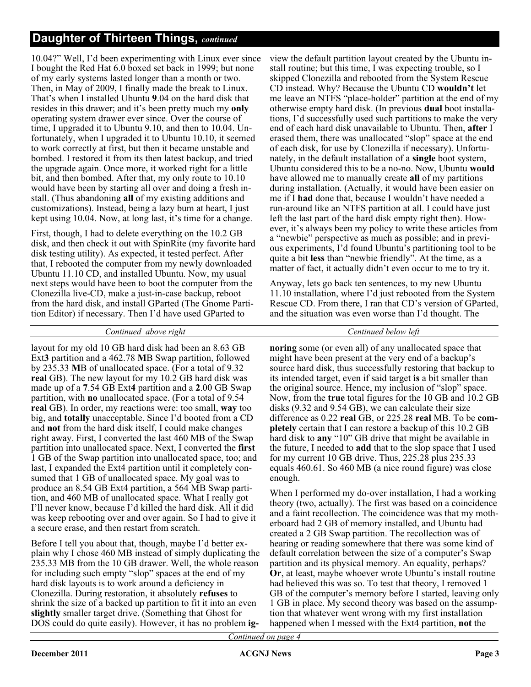10.04?" Well, I'd been experimenting with Linux ever since I bought the Red Hat 6.0 boxed set back in 1999; but none of my early systems lasted longer than a month or two. Then, in May of 2009, I finally made the break to Linux. That's when I installed Ubuntu **9**.04 on the hard disk that resides in this drawer; and it's been pretty much my **only** operating system drawer ever since. Over the course of time, I upgraded it to Ubuntu 9.10, and then to 10.04. Unfortunately, when I upgraded it to Ubuntu 10.10, it seemed to work correctly at first, but then it became unstable and bombed. I restored it from its then latest backup, and tried the upgrade again. Once more, it worked right for a little bit, and then bombed. After that, my only route to 10.10 would have been by starting all over and doing a fresh install. (Thus abandoning **all** of my existing additions and customizations). Instead, being a lazy bum at heart, I just kept using 10.04. Now, at long last, it's time for a change.

First, though, I had to delete everything on the 10.2 GB disk, and then check it out with SpinRite (my favorite hard disk testing utility). As expected, it tested perfect. After that, I rebooted the computer from my newly downloaded Ubuntu 11.10 CD, and installed Ubuntu. Now, my usual next steps would have been to boot the computer from the Clonezilla live-CD, make a just-in-case backup, reboot from the hard disk, and install GParted (The Gnome Partition Editor) if necessary. Then I'd have used GParted to

#### *Continued above right Centinued below left*

layout for my old 10 GB hard disk had been an 8.63 GB Ext**3** partition and a 462.78 **M**B Swap partition, followed by 235.33 **M**B of unallocated space. (For a total of 9.32 **real** GB). The new layout for my 10.2 GB hard disk was made up of a **7**.54 GB Ext**4** partition and a **2**.00 GB Swap partition, with **no** unallocated space. (For a total of 9.54 **real** GB). In order, my reactions were: too small, **way** too big, and **totally** unacceptable. Since I'd booted from a CD and **not** from the hard disk itself, I could make changes right away. First, I converted the last 460 MB of the Swap partition into unallocated space. Next, I converted the **first** 1 GB of the Swap partition into unallocated space, too; and last, I expanded the Ext4 partition until it completely consumed that 1 GB of unallocated space. My goal was to produce an 8.54 GB Ext4 partition, a 564 MB Swap partition, and 460 MB of unallocated space. What I really got I'll never know, because I'd killed the hard disk. All it did was keep rebooting over and over again. So I had to give it a secure erase, and then restart from scratch.

Before I tell you about that, though, maybe I'd better explain why I chose 460 MB instead of simply duplicating the 235.33 MB from the 10 GB drawer. Well, the whole reason for including such empty "slop" spaces at the end of my hard disk layouts is to work around a deficiency in Clonezilla. During restoration, it absolutely **refuses** to shrink the size of a backed up partition to fit it into an even **slightly** smaller target drive. (Something that Ghost for DOS could do quite easily). However, it has no problem **ig-** view the default partition layout created by the Ubuntu install routine; but this time, I was expecting trouble, so I skipped Clonezilla and rebooted from the System Rescue CD instead. Why? Because the Ubuntu CD **wouldn't** let me leave an NTFS "place-holder" partition at the end of my otherwise empty hard disk. (In previous **dual** boot installations, I'd successfully used such partitions to make the very end of each hard disk unavailable to Ubuntu. Then, **after** I erased them, there was unallocated "slop" space at the end of each disk, for use by Clonezilla if necessary). Unfortunately, in the default installation of a **single** boot system, Ubuntu considered this to be a no-no. Now, Ubuntu **would** have allowed me to manually create **all** of my partitions during installation. (Actually, it would have been easier on me if I **had** done that, because I wouldn't have needed a run-around like an NTFS partition at all. I could have just left the last part of the hard disk empty right then). However, it's always been my policy to write these articles from a "newbie" perspective as much as possible; and in previous experiments, I'd found Ubuntu's partitioning tool to be quite a bit **less** than "newbie friendly". At the time, as a matter of fact, it actually didn't even occur to me to try it.

Anyway, lets go back ten sentences, to my new Ubuntu 11.10 installation, where I'd just rebooted from the System Rescue CD. From there, I ran that CD's version of GParted, and the situation was even worse than I'd thought. The

**noring** some (or even all) of any unallocated space that might have been present at the very end of a backup's source hard disk, thus successfully restoring that backup to its intended target, even if said target **is** a bit smaller than the original source. Hence, my inclusion of "slop" space. Now, from the **true** total figures for the 10 GB and 10.2 GB disks (9.32 and 9.54 GB), we can calculate their size difference as 0.22 **real** GB, or 225.28 **real** MB. To be **completely** certain that I can restore a backup of this 10.2 GB hard disk to **any** "10" GB drive that might be available in the future, I needed to **add** that to the slop space that I used for my current 10 GB drive. Thus, 225.28 plus 235.33 equals 460.61. So 460 MB (a nice round figure) was close enough.

When I performed my do-over installation, I had a working theory (two, actually). The first was based on a coincidence and a faint recollection. The coincidence was that my motherboard had 2 GB of memory installed, and Ubuntu had created a 2 GB Swap partition. The recollection was of hearing or reading somewhere that there was some kind of default correlation between the size of a computer's Swap partition and its physical memory. An equality, perhaps? **Or**, at least, maybe whoever wrote Ubuntu's install routine had believed this was so. To test that theory, I removed 1 GB of the computer's memory before I started, leaving only 1 GB in place. My second theory was based on the assumption that whatever went wrong with my first installation happened when I messed with the Ext4 partition, **not** the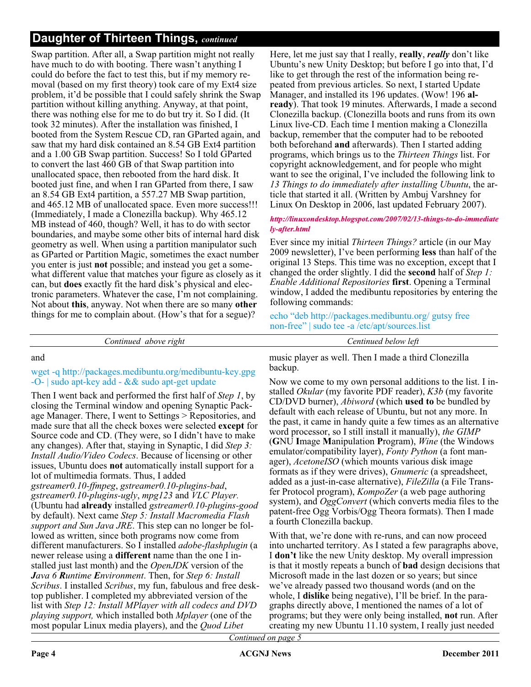Swap partition. After all, a Swap partition might not really have much to do with booting. There wasn't anything I could do before the fact to test this, but if my memory removal (based on my first theory) took care of my Ext4 size problem, it'd be possible that I could safely shrink the Swap partition without killing anything. Anyway, at that point, there was nothing else for me to do but try it. So I did. (It took 32 minutes). After the installation was finished, I booted from the System Rescue CD, ran GParted again, and saw that my hard disk contained an 8.54 GB Ext4 partition and a 1.00 GB Swap partition. Success! So I told GParted to convert the last 460 GB of that Swap partition into unallocated space, then rebooted from the hard disk. It booted just fine, and when I ran GParted from there, I saw an 8.54 GB Ext4 partition, a 557.27 MB Swap partition, and 465.12 MB of unallocated space. Even more success!!! (Immediately, I made a Clonezilla backup). Why 465.12 MB instead of 460, though? Well, it has to do with sector boundaries, and maybe some other bits of internal hard disk geometry as well. When using a partition manipulator such as GParted or Partition Magic, sometimes the exact number you enter is just **not** possible; and instead you get a somewhat different value that matches your figure as closely as it can, but **does** exactly fit the hard disk's physical and electronic parameters. Whatever the case, I'm not complaining. Not about **this**, anyway. Not when there are so many **other** things for me to complain about. (How's that for a segue)?

Here, let me just say that I really, **really**, *really* don't like Ubuntu's new Unity Desktop; but before I go into that, I'd like to get through the rest of the information being repeated from previous articles. So next, I started Update Manager, and installed its 196 updates. (Wow! 196 **already**). That took 19 minutes. Afterwards, I made a second Clonezilla backup. (Clonezilla boots and runs from its own Linux live-CD. Each time I mention making a Clonezilla backup, remember that the computer had to be rebooted both beforehand **and** afterwards). Then I started adding programs, which brings us to the *Thirteen Things* list. For copyright acknowledgement, and for people who might want to see the original, I've included the following link to *13 Things to do immediately after installing Ubuntu*, the article that started it all. (Written by Ambuj Varshney for Linux On Desktop in 2006, last updated February 2007).

#### http://linuxondesktop.blogspot.com/2007/02/13-things-to-do-immediate ly-after.html

Ever since my initial *Thirteen Things?* article (in our May 2009 newsletter), I've been performing **less** than half of the original 13 Steps. This time was no exception, except that I changed the order slightly. I did the **second** half of *Step 1: Enable Additional Repositories* **first**. Opening a Terminal window, I added the medibuntu repositories by entering the following commands:

echo "deb http://packages.medibuntu.org/ gutsy free non-free" | sudo tee -a /etc/apt/sources.list

*Continued above right Centinued below left*

#### and

#### wget -q http://packages.medibuntu.org/medibuntu-key.gpg -O- | sudo apt-key add - && sudo apt-get update

Then I went back and performed the first half of *Step 1*, by closing the Terminal window and opening Synaptic Package Manager. There, I went to Settings > Repositories, and made sure that all the check boxes were selected **except** for Source code and CD. (They were, so I didn't have to make any changes). After that, staying in Synaptic, I did *Step 3: Install Audio/Video Codecs*. Because of licensing or other issues, Ubuntu does **not** automatically install support for a lot of multimedia formats. Thus, I added *gstreamer0.10-ffmpeg*, *gstreamer0.10-plugins-bad*, *gstreamer0.10-plugins-ugly*, *mpg123* and *VLC Player.* (Ubuntu had **already** installed *gstreamer0.10-plugins-good* by default). Next came *Step 5: Install Macromedia Flash support and Sun Java JRE*. This step can no longer be followed as written, since both programs now come from different manufacturers. So I installed *adobe-flashplugin* (a newer release using a **different** name than the one I installed just last month) and the *OpenJDK* version of the *Java 6 Runtime Environment*. Then, for *Step 6: Install Scribus*. I installed *Scribus*, my fun, fabulous and free desktop publisher. I completed my abbreviated version of the list with *Step 12: Install MPlayer with all codecs and DVD playing support,* which installed both *Mplayer* (one of the most popular Linux media players), and the *Quod Libet*

music player as well. Then I made a third Clonezilla backup.

Now we come to my own personal additions to the list. I installed *Okular* (my favorite PDF reader), *K3b* (my favorite CD/DVD burner), *Abiword* (which **used to** be bundled by default with each release of Ubuntu, but not any more. In the past, it came in handy quite a few times as an alternative word processor, so I still install it manually), *the GIMP* (**G**NU **I**mage **M**anipulation **P**rogram), *Wine* (the Windows emulator/compatibility layer), *Fonty Python* (a font manager), *AcetoneISO* (which mounts various disk image formats as if they were drives), *Gnumeric* (a spreadsheet, added as a just-in-case alternative), *FileZilla* (a File Transfer Protocol program), *KompoZer* (a web page authoring system), and *OggConvert* (which converts media files to the patent-free Ogg Vorbis/Ogg Theora formats). Then I made a fourth Clonezilla backup.

With that, we're done with re-runs, and can now proceed into uncharted territory. As I stated a few paragraphs above, I **don't** like the new Unity desktop. My overall impression is that it mostly repeats a bunch of **bad** design decisions that Microsoft made in the last dozen or so years; but since we've already passed two thousand words (and on the whole, I **dislike** being negative), I'll be brief. In the paragraphs directly above, I mentioned the names of a lot of programs; but they were only being installed, **not** run. After creating my new Ubuntu 11.10 system, I really just needed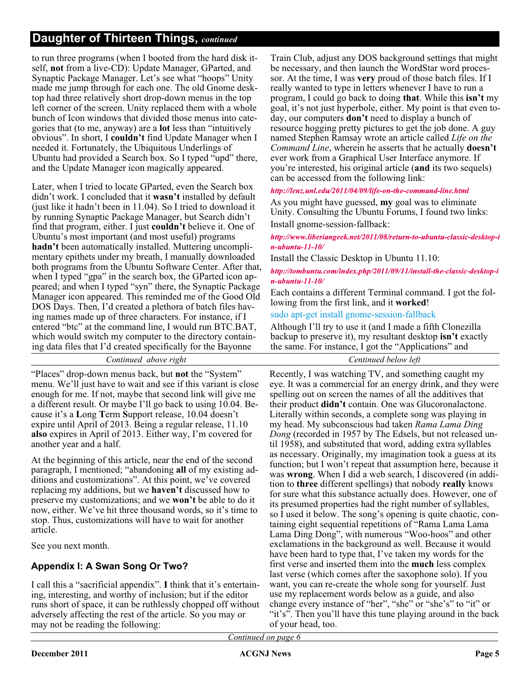to run three programs (when I booted from the hard disk itself, **not** from a live-CD): Update Manager, GParted, and Synaptic Package Manager. Let's see what "hoops" Unity made me jump through for each one. The old Gnome desktop had three relatively short drop-down menus in the top left corner of the screen. Unity replaced them with a whole bunch of Icon windows that divided those menus into categories that (to me, anyway) are a **lot** less than "intuitively obvious". In short, I **couldn't** find Update Manager when I needed it. Fortunately, the Ubiquitous Underlings of Ubuntu had provided a Search box. So I typed "upd" there, and the Update Manager icon magically appeared.

Later, when I tried to locate GParted, even the Search box didn't work. I concluded that it **wasn't** installed by default (just like it hadn't been in 11.04). So I tried to download it by running Synaptic Package Manager, but Search didn't find that program, either. I just **couldn't** believe it. One of Ubuntu's most important (and most useful) programs **hadn't** been automatically installed. Muttering uncomplimentary epithets under my breath, I manually downloaded both programs from the Ubuntu Software Center. After that, when I typed "gpa" in the search box, the GParted icon appeared; and when I typed "syn" there, the Synaptic Package Manager icon appeared. This reminded me of the Good Old DOS Days. Then, I'd created a plethora of batch files having names made up of three characters. For instance, if I entered "btc" at the command line, I would run BTC.BAT, which would switch my computer to the directory containing data files that I'd created specifically for the Bayonne

Train Club, adjust any DOS background settings that might be necessary, and then launch the WordStar word processor. At the time, I was **very** proud of those batch files. If I really wanted to type in letters whenever I have to run a program, I could go back to doing **that**. While this **isn't** my goal, it's not just hyperbole, either. My point is that even today, our computers **don't** need to display a bunch of resource hogging pretty pictures to get the job done. A guy named Stephen Ramsay wrote an article called *Life on the Command Line*, wherein he asserts that he actually **doesn't** ever work from a Graphical User Interface anymore. If you're interested, his original article (**and** its two sequels) can be accessed from the following link:

http://lenz.unl.edu/2011/04/09/life-on-the-command-line.html

As you might have guessed, **my** goal was to eliminate Unity. Consulting the Ubuntu Forums, I found two links: Install gnome-session-fallback:

http://www.liberiangeek.net/2011/08/return-to-ubuntu-classic-desktop-i  $n$ -ubuntu- $11$ - $10/$ 

Install the Classic Desktop in Ubuntu 11.10:

http://tombuntu.com/index.php/2011/09/11/install-the-classic-desktop-i  $n$ -ubuntu- $11$ - $10/$ 

Each contains a different Terminal command. I got the following from the first link, and it **worked**!

sudo apt-get install gnome-session-fallback

Although I'll try to use it (and I made a fifth Clonezilla backup to preserve it), my resultant desktop **isn't** exactly the same. For instance, I got the "Applications" and

*Continued above right Centinued below left*

"Places" drop-down menus back, but **not** the "System" menu. We'll just have to wait and see if this variant is close enough for me. If not, maybe that second link will give me a different result. Or maybe I'll go back to using 10.04. Because it's a **L**ong **T**erm **S**upport release, 10.04 doesn't expire until April of 2013. Being a regular release, 11.10 **also** expires in April of 2013. Either way, I'm covered for another year and a half.

At the beginning of this article, near the end of the second paragraph, I mentioned; "abandoning **all** of my existing additions and customizations". At this point, we've covered replacing my additions, but we **haven't** discussed how to preserve my customizations; and we **won't** be able to do it now, either. We've hit three thousand words, so it's time to stop. Thus, customizations will have to wait for another article.

See you next month.

### **Appendix I: A Swan Song Or Two?**

I call this a "sacrificial appendix". **I** think that it's entertaining, interesting, and worthy of inclusion; but if the editor runs short of space, it can be ruthlessly chopped off without adversely affecting the rest of the article. So you may or may not be reading the following:

Recently, I was watching TV, and something caught my eye. It was a commercial for an energy drink, and they were spelling out on screen the names of all the additives that their product **didn't** contain. One was Glucoronalactone. Literally within seconds, a complete song was playing in my head. My subconscious had taken *Rama Lama Ding Dong* (recorded in 1957 by The Edsels, but not released until 1958), and substituted that word, adding extra syllables as necessary. Originally, my imagination took a guess at its function; but I won't repeat that assumption here, because it was **wrong**. When I did a web search, I discovered (in addition to **three** different spellings) that nobody **really** knows for sure what this substance actually does. However, one of its presumed properties had the right number of syllables, so I used it below. The song's opening is quite chaotic, containing eight sequential repetitions of "Rama Lama Lama Lama Ding Dong", with numerous "Woo-hoos" and other exclamations in the background as well. Because it would have been hard to type that, I've taken my words for the first verse and inserted them into the **much** less complex last verse (which comes after the saxophone solo). If you want, you can re-create the whole song for yourself. Just use my replacement words below as a guide, and also change every instance of "her", "she" or "she's" to "it" or "it's". Then you'll have this tune playing around in the back of your head, too.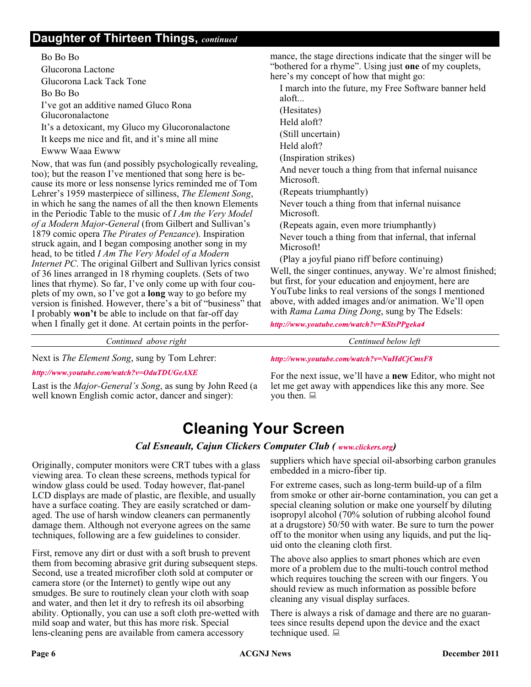Bo Bo Bo Glucorona Lactone Glucorona Lack Tack Tone Bo Bo Bo I've got an additive named Gluco Rona Glucoronalactone It's a detoxicant, my Gluco my Glucoronalactone It keeps me nice and fit, and it's mine all mine Ewww Waaa Ewww

Now, that was fun (and possibly psychologically revealing, too); but the reason I've mentioned that song here is because its more or less nonsense lyrics reminded me of Tom Lehrer's 1959 masterpiece of silliness, *The Element Song*, in which he sang the names of all the then known Elements in the Periodic Table to the music of *I Am the Very Model of a Modern Major-General* (from Gilbert and Sullivan's 1879 comic opera *The Pirates of Penzance*). Inspiration struck again, and I began composing another song in my head, to be titled *I Am The Very Model of a Modern Internet PC*. The original Gilbert and Sullivan lyrics consist of 36 lines arranged in 18 rhyming couplets. (Sets of two lines that rhyme). So far, I've only come up with four couplets of my own, so I've got a **long** way to go before my version is finished. However, there's a bit of "business" that I probably **won't** be able to include on that far-off day when I finally get it done. At certain points in the perfor-

mance, the stage directions indicate that the singer will be "bothered for a rhyme". Using just **one** of my couplets, here's my concept of how that might go:

I march into the future, my Free Software banner held aloft...

(Hesitates)

Held aloft?

(Still uncertain)

Held aloft?

(Inspiration strikes)

And never touch a thing from that infernal nuisance Microsoft.

(Repeats triumphantly)

Never touch a thing from that infernal nuisance Microsoft.

(Repeats again, even more triumphantly) Never touch a thing from that infernal, that infernal Microsoft!

(Play a joyful piano riff before continuing)

Well, the singer continues, anyway. We're almost finished; but first, for your education and enjoyment, here are YouTube links to real versions of the songs I mentioned above, with added images and/or animation. We'll open with *Rama Lama Ding Dong*, sung by The Edsels:

http://www.youtube.com/watch?v=KStsPPgeka4

http://www.youtube.com/watch?v=NuHdCjCmsF8

*Continued above right Centinued below left*

Next is *The Element Song*, sung by Tom Lehrer:

http://www.youtube.com/watch?v=OduTDUGeAXE

Last is the *Major-General's Song*, as sung by John Reed (a well known English comic actor, dancer and singer):

For the next issue, we'll have a **new** Editor, who might not let me get away with appendices like this any more. See

## **Cleaning Your Screen**

you then.  $\Box$ 

#### *Cal Esneault, Cajun Clickers Computer Club ( www.clickers.org)*

Originally, computer monitors were CRT tubes with a glass viewing area. To clean these screens, methods typical for window glass could be used. Today however, flat-panel LCD displays are made of plastic, are flexible, and usually have a surface coating. They are easily scratched or damaged. The use of harsh window cleaners can permanently damage them. Although not everyone agrees on the same techniques, following are a few guidelines to consider.

First, remove any dirt or dust with a soft brush to prevent them from becoming abrasive grit during subsequent steps. Second, use a treated microfiber cloth sold at computer or camera store (or the Internet) to gently wipe out any smudges. Be sure to routinely clean your cloth with soap and water, and then let it dry to refresh its oil absorbing ability. Optionally, you can use a soft cloth pre-wetted with mild soap and water, but this has more risk. Special lens-cleaning pens are available from camera accessory

suppliers which have special oil-absorbing carbon granules embedded in a micro-fiber tip.

For extreme cases, such as long-term build-up of a film from smoke or other air-borne contamination, you can get a special cleaning solution or make one yourself by diluting isopropyl alcohol (70% solution of rubbing alcohol found at a drugstore) 50/50 with water. Be sure to turn the power off to the monitor when using any liquids, and put the liquid onto the cleaning cloth first.

The above also applies to smart phones which are even more of a problem due to the multi-touch control method which requires touching the screen with our fingers. You should review as much information as possible before cleaning any visual display surfaces.

There is always a risk of damage and there are no guarantees since results depend upon the device and the exact technique used.  $\Box$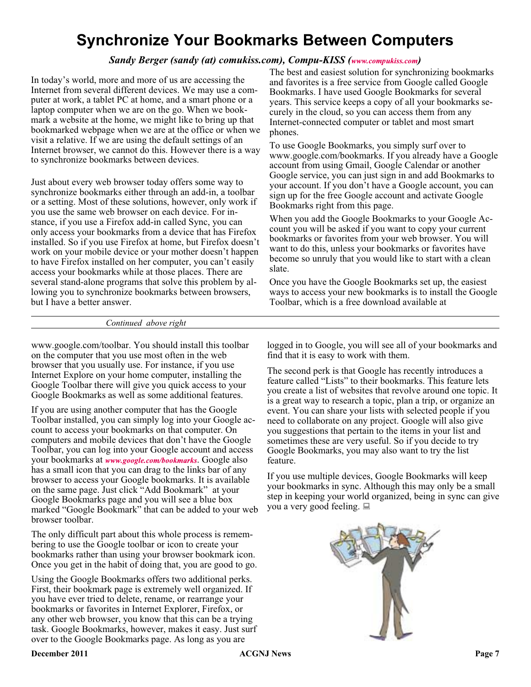## **Synchronize Your Bookmarks Between Computers**

#### *Sandy Berger (sandy (at) comukiss.com), Compu-KISS [\(](http://www.compukiss.com) )*

In today's world, more and more of us are accessing the Internet from several different devices. We may use a computer at work, a tablet PC at home, and a smart phone or a laptop computer when we are on the go. When we bookmark a website at the home, we might like to bring up that bookmarked webpage when we are at the office or when we visit a relative. If we are using the default settings of an Internet browser, we cannot do this. However there is a way to synchronize bookmarks between devices.

Just about every web browser today offers some way to synchronize bookmarks either through an add-in, a toolbar or a setting. Most of these solutions, however, only work if you use the same web browser on each device. For instance, if you use a Firefox add-in called Sync, you can only access your bookmarks from a device that has Firefox installed. So if you use Firefox at home, but Firefox doesn't work on your mobile device or your mother doesn't happen to have Firefox installed on her computer, you can't easily access your bookmarks while at those places. There are several stand-alone programs that solve this problem by allowing you to synchronize bookmarks between browsers, but I have a better answer.

The best and easiest solution for synchronizing bookmarks and favorites is a free service from Google called Google Bookmarks. I have used Google Bookmarks for several years. This service keeps a copy of all your bookmarks securely in the cloud, so you can access them from any Internet-connected computer or tablet and most smart phones.

To use Google Bookmarks, you simply surf over to www.google.com/bookmarks. If you already have a Google account from using Gmail, Google Calendar or another Google service, you can just sign in and add Bookmarks to your account. If you don't have a Google account, you can sign up for the free Google account and activate Google Bookmarks right from this page.

When you add the Google Bookmarks to your Google Account you will be asked if you want to copy your current bookmarks or favorites from your web browser. You will want to do this, unless your bookmarks or favorites have become so unruly that you would like to start with a clean slate.

Once you have the Google Bookmarks set up, the easiest ways to access your new bookmarks is to install the Google Toolbar, which is a free download available at

#### *Continued above right*

www.google.com/toolbar. You should install this toolbar on the computer that you use most often in the web browser that you usually use. For instance, if you use Internet Explore on your home computer, installing the Google Toolbar there will give you quick access to your Google Bookmarks as well as some additional features.

If you are using another computer that has the Google Toolbar installed, you can simply log into your Google account to access your bookmarks on that computer. On computers and mobile devices that don't have the Google Toolbar, you can log into your Google account and access your bookmarks at *www.google.com/bookmarks*. Google also has a small icon that you can drag to the links bar of any browser to access your Google bookmarks. It is available on the same page. Just click "Add Bookmark" at your Google Bookmarks page and you will see a blue box marked "Google Bookmark" that can be added to your web browser toolbar.

The only difficult part about this whole process is remembering to use the Google toolbar or icon to create your bookmarks rather than using your browser bookmark icon. Once you get in the habit of doing that, you are good to go.

Using the Google Bookmarks offers two additional perks. First, their bookmark page is extremely well organized. If you have ever tried to delete, rename, or rearrange your bookmarks or favorites in Internet Explorer, Firefox, or any other web browser, you know that this can be a trying task. Google Bookmarks, however, makes it easy. Just surf over to the Google Bookmarks page. As long as you are

logged in to Google, you will see all of your bookmarks and find that it is easy to work with them.

The second perk is that Google has recently introduces a feature called "Lists" to their bookmarks. This feature lets you create a list of websites that revolve around one topic. It is a great way to research a topic, plan a trip, or organize an event. You can share your lists with selected people if you need to collaborate on any project. Google will also give you suggestions that pertain to the items in your list and sometimes these are very useful. So if you decide to try Google Bookmarks, you may also want to try the list feature.

If you use multiple devices, Google Bookmarks will keep your bookmarks in sync. Although this may only be a small step in keeping your world organized, being in sync can give you a very good feeling.

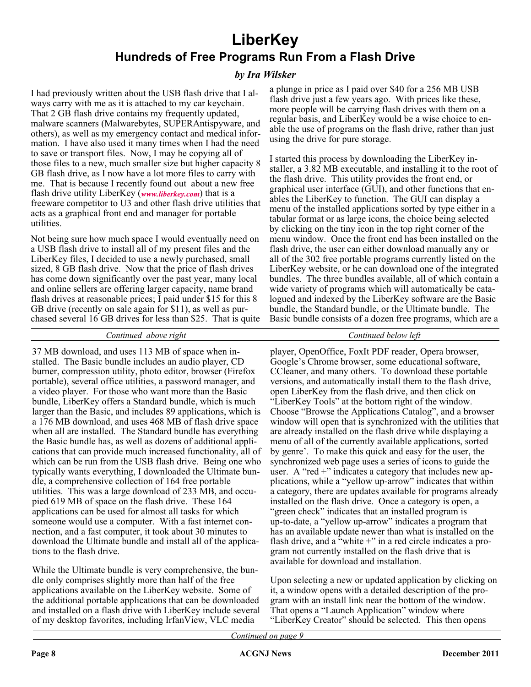## **LiberKey Hundreds of Free Programs Run From a Flash Drive**

#### *by Ira Wilsker*

I had previously written about the USB flash drive that I always carry with me as it is attached to my car keychain. That 2 GB flash drive contains my frequently updated, malware scanners (Malwarebytes, SUPERAntispyware, and others), as well as my emergency contact and medical information. I have also used it many times when I had the need to save or transport files. Now, I may be copying all of those files to a new, much smaller size but higher capacity 8 GB flash drive, as I now have a lot more files to carry with me. That is because I recently found out about a new free flash drive utility LiberKey ( $www.liberkey.com$ ) that is a freeware competitor to U3 and other flash drive utilities that acts as a graphical front end and manager for portable utilities.

Not being sure how much space I would eventually need on a USB flash drive to install all of my present files and the LiberKey files, I decided to use a newly purchased, small sized, 8 GB flash drive. Now that the price of flash drives has come down significantly over the past year, many local and online sellers are offering larger capacity, name brand flash drives at reasonable prices; I paid under \$15 for this 8 GB drive (recently on sale again for \$11), as well as purchased several 16 GB drives for less than \$25. That is quite a plunge in price as I paid over \$40 for a 256 MB USB flash drive just a few years ago. With prices like these, more people will be carrying flash drives with them on a regular basis, and LiberKey would be a wise choice to enable the use of programs on the flash drive, rather than just using the drive for pure storage.

I started this process by downloading the LiberKey installer, a 3.82 MB executable, and installing it to the root of the flash drive. This utility provides the front end, or graphical user interface (GUI), and other functions that enables the LiberKey to function. The GUI can display a menu of the installed applications sorted by type either in a tabular format or as large icons, the choice being selected by clicking on the tiny icon in the top right corner of the menu window. Once the front end has been installed on the flash drive, the user can either download manually any or all of the 302 free portable programs currently listed on the LiberKey website, or he can download one of the integrated bundles. The three bundles available, all of which contain a wide variety of programs which will automatically be catalogued and indexed by the LiberKey software are the Basic bundle, the Standard bundle, or the Ultimate bundle. The Basic bundle consists of a dozen free programs, which are a

#### *Continued above right Continued below left*

37 MB download, and uses 113 MB of space when installed. The Basic bundle includes an audio player, CD burner, compression utility, photo editor, browser (Firefox portable), several office utilities, a password manager, and a video player. For those who want more than the Basic bundle, LiberKey offers a Standard bundle, which is much larger than the Basic, and includes 89 applications, which is a 176 MB download, and uses 468 MB of flash drive space when all are installed. The Standard bundle has everything the Basic bundle has, as well as dozens of additional applications that can provide much increased functionality, all of which can be run from the USB flash drive. Being one who typically wants everything, I downloaded the Ultimate bundle, a comprehensive collection of 164 free portable utilities. This was a large download of 233 MB, and occupied 619 MB of space on the flash drive. These 164 applications can be used for almost all tasks for which someone would use a computer. With a fast internet connection, and a fast computer, it took about 30 minutes to download the Ultimate bundle and install all of the applications to the flash drive.

While the Ultimate bundle is very comprehensive, the bundle only comprises slightly more than half of the free applications available on the LiberKey website. Some of the additional portable applications that can be downloaded and installed on a flash drive with LiberKey include several of my desktop favorites, including IrfanView, VLC media

player, OpenOffice, FoxIt PDF reader, Opera browser, Google's Chrome browser, some educational software, CCleaner, and many others. To download these portable versions, and automatically install them to the flash drive, open LiberKey from the flash drive, and then click on "LiberKey Tools" at the bottom right of the window. Choose "Browse the Applications Catalog", and a browser window will open that is synchronized with the utilities that are already installed on the flash drive while displaying a menu of all of the currently available applications, sorted by genre'. To make this quick and easy for the user, the synchronized web page uses a series of icons to guide the user. A "red +" indicates a category that includes new applications, while a "yellow up-arrow" indicates that within a category, there are updates available for programs already installed on the flash drive. Once a category is open, a "green check" indicates that an installed program is up-to-date, a "yellow up-arrow" indicates a program that has an available update newer than what is installed on the flash drive, and a "white +" in a red circle indicates a program not currently installed on the flash drive that is available for download and installation.

Upon selecting a new or updated application by clicking on it, a window opens with a detailed description of the program with an install link near the bottom of the window. That opens a "Launch Application" window where "LiberKey Creator" should be selected. This then opens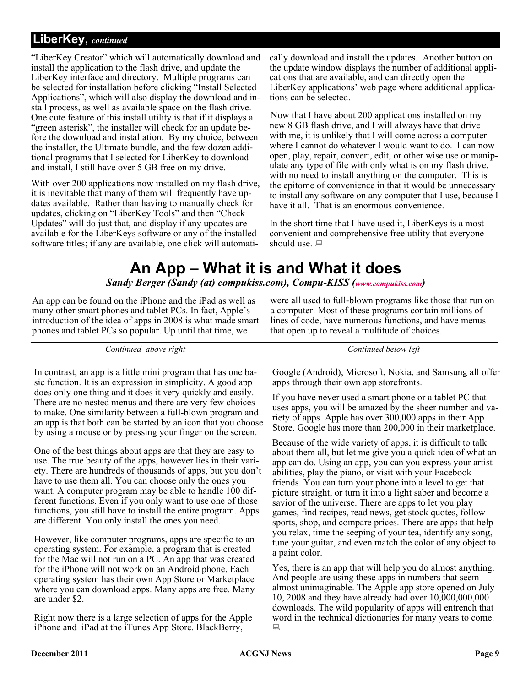#### **LiberKey,** *continued*

"LiberKey Creator" which will automatically download and install the application to the flash drive, and update the LiberKey interface and directory. Multiple programs can be selected for installation before clicking "Install Selected Applications", which will also display the download and install process, as well as available space on the flash drive. One cute feature of this install utility is that if it displays a "green asterisk", the installer will check for an update before the download and installation. By my choice, between the installer, the Ultimate bundle, and the few dozen additional programs that I selected for LiberKey to download and install, I still have over 5 GB free on my drive.

With over 200 applications now installed on my flash drive, it is inevitable that many of them will frequently have updates available. Rather than having to manually check for updates, clicking on "LiberKey Tools" and then "Check Updates" will do just that, and display if any updates are available for the LiberKeys software or any of the installed software titles; if any are available, one click will automatically download and install the updates. Another button on the update window displays the number of additional applications that are available, and can directly open the LiberKey applications' web page where additional applications can be selected.

Now that I have about 200 applications installed on my new 8 GB flash drive, and I will always have that drive with me, it is unlikely that I will come across a computer where I cannot do whatever I would want to do. I can now open, play, repair, convert, edit, or other wise use or manipulate any type of file with only what is on my flash drive, with no need to install anything on the computer. This is the epitome of convenience in that it would be unnecessary to install any software on any computer that I use, because I have it all. That is an enormous convenience.

In the short time that I have used it, LiberKeys is a most convenient and comprehensive free utility that everyone should use.  $\Box$ 

## **An App – What it is and What it does**

#### *Sandy Berger (Sandy (at) compukiss.com), Compu-KISS ( [\)](http://www.compukiss.com)*

An app can be found on the iPhone and the iPad as well as many other smart phones and tablet PCs. In fact, Apple's introduction of the idea of apps in 2008 is what made smart phones and tablet PCs so popular. Up until that time, we

were all used to full-blown programs like those that run on a computer. Most of these programs contain millions of lines of code, have numerous functions, and have menus that open up to reveal a multitude of choices.

In contrast, an app is a little mini program that has one basic function. It is an expression in simplicity. A good app does only one thing and it does it very quickly and easily. There are no nested menus and there are very few choices to make. One similarity between a full-blown program and an app is that both can be started by an icon that you choose by using a mouse or by pressing your finger on the screen.

One of the best things about apps are that they are easy to use. The true beauty of the apps, however lies in their variety. There are hundreds of thousands of apps, but you don't have to use them all. You can choose only the ones you want. A computer program may be able to handle 100 different functions. Even if you only want to use one of those functions, you still have to install the entire program. Apps are different. You only install the ones you need.

However, like computer programs, apps are specific to an operating system. For example, a program that is created for the Mac will not run on a PC. An app that was created for the iPhone will not work on an Android phone. Each operating system has their own App Store or Marketplace where you can download apps. Many apps are free. Many are under \$2.

Right now there is a large selection of apps for the Apple iPhone and iPad at the iTunes App Store. BlackBerry,

Google (Android), Microsoft, Nokia, and Samsung all offer apps through their own app storefronts.

If you have never used a smart phone or a tablet PC that uses apps, you will be amazed by the sheer number and variety of apps. Apple has over 300,000 apps in their App Store. Google has more than 200,000 in their marketplace.

Because of the wide variety of apps, it is difficult to talk about them all, but let me give you a quick idea of what an app can do. Using an app, you can you express your artist abilities, play the piano, or visit with your Facebook friends. You can turn your phone into a level to get that picture straight, or turn it into a light saber and become a savior of the universe. There are apps to let you play games, find recipes, read news, get stock quotes, follow sports, shop, and compare prices. There are apps that help you relax, time the seeping of your tea, identify any song, tune your guitar, and even match the color of any object to a paint color.

Yes, there is an app that will help you do almost anything. And people are using these apps in numbers that seem almost unimaginable. The Apple app store opened on July 10, 2008 and they have already had over 10,000,000,000 downloads. The wild popularity of apps will entrench that word in the technical dictionaries for many years to come. 口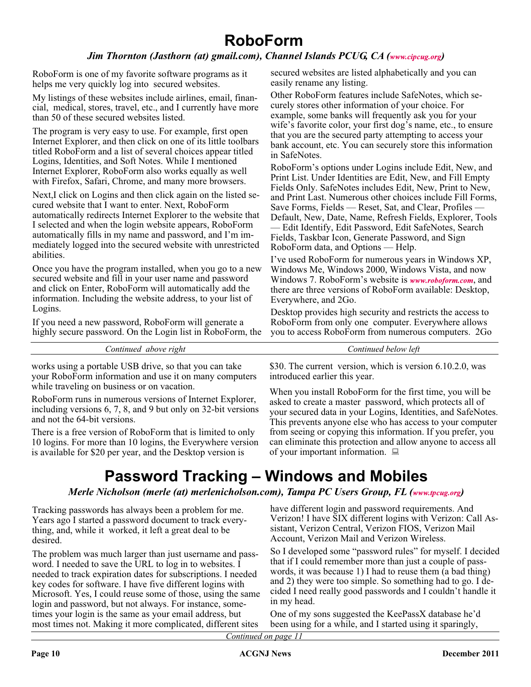#### *Jim Thornton (Jasthorn (at[\)](http://www.cipcug.org) gmail.com), Channel Islands PCUG, CA (www.cipcug.org)*

RoboForm is one of my favorite software programs as it helps me very quickly log into secured websites.

My listings of these websites include airlines, email, financial, medical, stores, travel, etc., and I currently have more than 50 of these secured websites listed.

The program is very easy to use. For example, first open Internet Explorer, and then click on one of its little toolbars titled RoboForm and a list of several choices appear titled Logins, Identities, and Soft Notes. While I mentioned Internet Explorer, RoboForm also works equally as well with Firefox, Safari, Chrome, and many more browsers.

Next,I click on Logins and then click again on the listed secured website that I want to enter. Next, RoboForm automatically redirects Internet Explorer to the website that I selected and when the login website appears, RoboForm automatically fills in my name and password, and I'm immediately logged into the secured website with unrestricted abilities.

Once you have the program installed, when you go to a new secured website and fill in your user name and password and click on Enter, RoboForm will automatically add the information. Including the website address, to your list of Logins.

If you need a new password, RoboForm will generate a highly secure password. On the Login list in RoboForm, the secured websites are listed alphabetically and you can easily rename any listing.

Other RoboForm features include SafeNotes, which securely stores other information of your choice. For example, some banks will frequently ask you for your wife's favorite color, your first dog's name, etc., to ensure that you are the secured party attempting to access your bank account, etc. You can securely store this information in SafeNotes.

RoboForm's options under Logins include Edit, New, and Print List. Under Identities are Edit, New, and Fill Empty Fields Only. SafeNotes includes Edit, New, Print to New, and Print Last. Numerous other choices include Fill Forms, Save Forms, Fields — Reset, Sat, and Clear, Profiles — Default, New, Date, Name, Refresh Fields, Explorer, Tools — Edit Identify, Edit Password, Edit SafeNotes, Search Fields, Taskbar Icon, Generate Password, and Sign RoboForm data, and Options — Help.

I've used RoboForm for numerous years in Windows XP, Windows Me, Windows 2000, Windows Vista, and now Windows 7. RoboForm's website is *www.roboform.com*[,](http://www.roboform.com) and there are three versions of RoboForm available: Desktop, Everywhere, and 2Go.

Desktop provides high security and restricts the access to RoboForm from only one computer. Everywhere allows you to access RoboForm from numerous computers. 2Go

| let<br>. |
|----------|
|          |

works using a portable USB drive, so that you can take your RoboForm information and use it on many computers while traveling on business or on vacation.

RoboForm runs in numerous versions of Internet Explorer, including versions 6, 7, 8, and 9 but only on 32-bit versions and not the 64-bit versions.

There is a free version of RoboForm that is limited to only 10 logins. For more than 10 logins, the Everywhere version is available for \$20 per year, and the Desktop version is

\$30. The current version, which is version 6.10.2.0, was introduced earlier this year.

When you install RoboForm for the first time, you will be asked to create a master password, which protects all of your secured data in your Logins, Identities, and SafeNotes. This prevents anyone else who has access to your computer from seeing or copying this information. If you prefer, you can eliminate this protection and allow anyone to access all of your important information.  $\Box$ 

## **Password Tracking – Windows and Mobiles**

*Merle Nicholson [\(](http://www.tpcug.org)merle (at) merlenicholson.com), Tampa PC Users Group, FL (www.tpcug.org)* 

Tracking passwords has always been a problem for me. Years ago I started a password document to track everything, and, while it worked, it left a great deal to be desired.

The problem was much larger than just username and password. I needed to save the URL to log in to websites. I needed to track expiration dates for subscriptions. I needed key codes for software. I have five different logins with Microsoft. Yes, I could reuse some of those, using the same login and password, but not always. For instance, sometimes your login is the same as your email address, but most times not. Making it more complicated, different sites

have different login and password requirements. And Verizon! I have SIX different logins with Verizon: Call Assistant, Verizon Central, Verizon FIOS, Verizon Mail Account, Verizon Mail and Verizon Wireless.

So I developed some "password rules" for myself. I decided that if I could remember more than just a couple of passwords, it was because 1) I had to reuse them (a bad thing) and 2) they were too simple. So something had to go. I decided I need really good passwords and I couldn't handle it in my head.

One of my sons suggested the KeePassX database he'd been using for a while, and I started using it sparingly,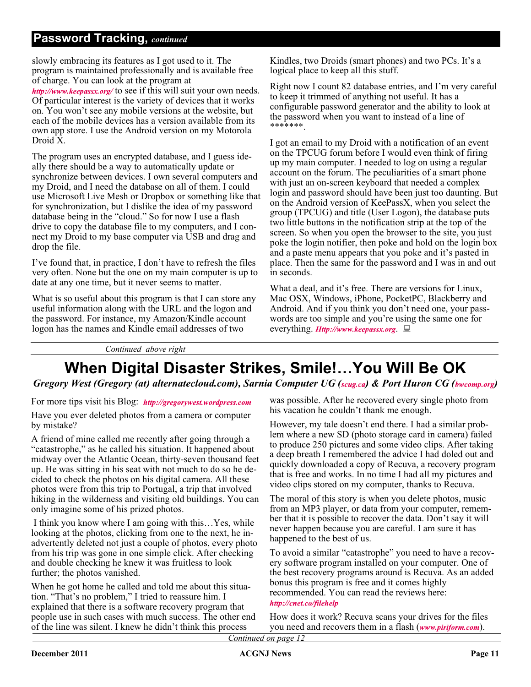### **Password Tracking,** *continued*

slowly embracing its features as I got used to it. The program is maintained professionally and is available free of charge. You can look at the program at

http://www.keepassx.org/ to see if this will suit your own needs. Of particular interest is the variety of devices that it works on. You won't see any mobile versions at the website, but each of the mobile devices has a version available from its own app store. I use the Android version on my Motorola Droid X.

The program uses an encrypted database, and I guess ideally there should be a way to automatically update or synchronize between devices. I own several computers and my Droid, and I need the database on all of them. I could use Microsoft Live Mesh or Dropbox or something like that for synchronization, but I dislike the idea of my password database being in the "cloud." So for now I use a flash drive to copy the database file to my computers, and I connect my Droid to my base computer via USB and drag and drop the file.

I've found that, in practice, I don't have to refresh the files very often. None but the one on my main computer is up to date at any one time, but it never seems to matter.

What is so useful about this program is that I can store any useful information along with the URL and the logon and the password. For instance, my Amazon/Kindle account logon has the names and Kindle email addresses of two

Kindles, two Droids (smart phones) and two PCs. It's a logical place to keep all this stuff.

Right now I count 82 database entries, and I'm very careful to keep it trimmed of anything not useful. It has a configurable password generator and the ability to look at the password when you want to instead of a line of \*\*\*\*\*\*\*.

I got an email to my Droid with a notification of an event on the TPCUG forum before I would even think of firing up my main computer. I needed to log on using a regular account on the forum. The peculiarities of a smart phone with just an on-screen keyboard that needed a complex login and password should have been just too daunting. But on the Android version of KeePassX, when you select the group (TPCUG) and title (User Logon), the database puts two little buttons in the notification strip at the top of the screen. So when you open the browser to the site, you just poke the login notifier, then poke and hold on the login box and a paste menu appears that you poke and it's pasted in place. Then the same for the password and I was in and out in seconds.

What a deal, and it's free. There are versions for Linux, Mac OSX, Windows, iPhone, PocketPC, Blackberry and Android. And if you think you don't need one, your passwords are too simple and you're using the same one for everything.  $Htp$ ://www.keepassx.org.  $\Box$ 

*Continued above right*

## **When Digital Disaster Strikes, Smile!…You Will Be OK**

*Gregory West (Gregory (at) alternatecloud.com), Sarnia Computer UG (scug.ca) & Port Huron CG (bwcomp.org)* 

For more tips visit his Blog: http://gregorywest.wordpress.com

Have you ever deleted photos from a camera or computer by mistake?

A friend of mine called me recently after going through a "catastrophe," as he called his situation. It happened about midway over the Atlantic Ocean, thirty-seven thousand feet up. He was sitting in his seat with not much to do so he decided to check the photos on his digital camera. All these photos were from this trip to Portugal, a trip that involved hiking in the wilderness and visiting old buildings. You can only imagine some of his prized photos.

I think you know where I am going with this…Yes, while looking at the photos, clicking from one to the next, he inadvertently deleted not just a couple of photos, every photo from his trip was gone in one simple click. After checking and double checking he knew it was fruitless to look further; the photos vanished.

When he got home he called and told me about this situation. "That's no problem," I tried to reassure him. I explained that there is a software recovery program that people use in such cases with much success. The other end of the line was silent. I knew he didn't think this process

was possible. After he recovered every single photo from his vacation he couldn't thank me enough.

However, my tale doesn't end there. I had a similar problem where a new SD (photo storage card in camera) failed to produce 250 pictures and some video clips. After taking a deep breath I remembered the advice I had doled out and quickly downloaded a copy of Recuva, a recovery program that is free and works. In no time I had all my pictures and video clips stored on my computer, thanks to Recuva.

The moral of this story is when you delete photos, music from an MP3 player, or data from your computer, remember that it is possible to recover the data. Don't say it will never happen because you are careful. I am sure it has happened to the best of us.

To avoid a similar "catastrophe" you need to have a recovery software program installed on your computer. One of the best recovery programs around is Recuva. As an added bonus this program is free and it comes highly recommended. You can read the reviews here: http://cnet.co/filehelp

How does it work? Recuva scans your drives for the files you need and recovers them in a flash (*www.piriform.com*).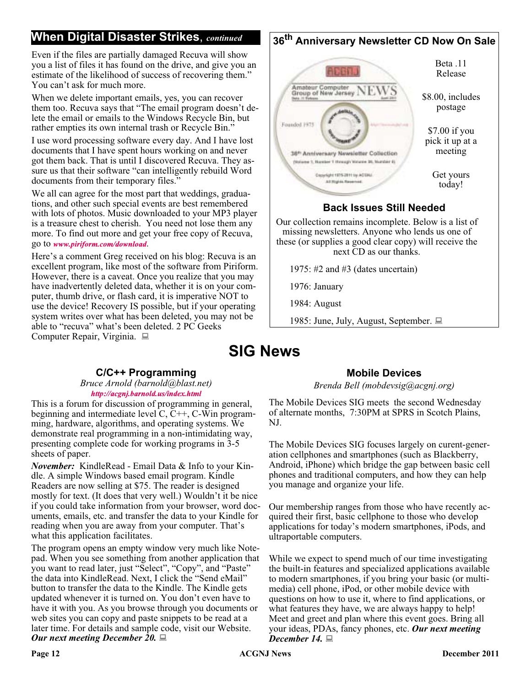### **When Digital Disaster Strikes**, *continued*

Even if the files are partially damaged Recuva will show you a list of files it has found on the drive, and give you an estimate of the likelihood of success of recovering them." You can't ask for much more.

When we delete important emails, yes, you can recover them too. Recuva says that "The email program doesn't delete the email or emails to the Windows Recycle Bin, but rather empties its own internal trash or Recycle Bin."

I use word processing software every day. And I have lost documents that I have spent hours working on and never got them back. That is until I discovered Recuva. They assure us that their software "can intelligently rebuild Word documents from their temporary files."

We all can agree for the most part that weddings, graduations, and other such special events are best remembered with lots of photos. Music downloaded to your MP3 player is a treasure chest to cherish. You need not lose them any more. To find out more and get your free copy of Recuva, go to www[.](http://www.piriform.com/download)piriform.com/download.

Here's a comment Greg received on his blog: Recuva is an excellent program, like most of the software from Piriform. However, there is a caveat. Once you realize that you may have inadvertently deleted data, whether it is on your computer, thumb drive, or flash card, it is imperative NOT to use the device! Recovery IS possible, but if your operating system writes over what has been deleted, you may not be able to "recuva" what's been deleted. 2 PC Geeks Computer Repair, Virginia.

## **36th Anniversary Newsletter CD Now On Sale**



#### **Back Issues Still Needed**

Our collection remains incomplete. Below is a list of missing newsletters. Anyone who lends us one of these (or supplies a good clear copy) will receive the next CD as our thanks.

1975: #2 and #3 (dates uncertain)

1976: January

1984: August

1985: June, July, August, September.

## **SIG News**

#### **C/C++ Programming**

*Bruce Arnold (barnold@blast.net)* http://acgnj.barnold.us/index.html

This is a forum for discussion of programming in general, beginning and intermediate level C, C++, C-Win programming, hardware, algorithms, and operating systems. We demonstrate real programming in a non-intimidating way, presenting complete code for working programs in 3-5 sheets of paper.

*November:* KindleRead - Email Data & Info to your Kindle. A simple Windows based email program. Kindle Readers are now selling at \$75. The reader is designed mostly for text. (It does that very well.) Wouldn't it be nice if you could take information from your browser, word documents, emails, etc. and transfer the data to your Kindle for reading when you are away from your computer. That's what this application facilitates.

The program opens an empty window very much like Notepad. When you see something from another application that you want to read later, just "Select", "Copy", and "Paste" the data into KindleRead. Next, I click the "Send eMail" button to transfer the data to the Kindle. The Kindle gets updated whenever it is turned on. You don't even have to have it with you. As you browse through you documents or web sites you can copy and paste snippets to be read at a later time. For details and sample code, visit our Website. *Our next meeting December 20.*

#### **Mobile Devices**

*Brenda Bell (mobdevsig@acgnj.org)*

The Mobile Devices SIG meets the second Wednesday of alternate months, 7:30PM at SPRS in Scotch Plains, NJ.

The Mobile Devices SIG focuses largely on curent-generation cellphones and smartphones (such as Blackberry, Android, iPhone) which bridge the gap between basic cell phones and traditional computers, and how they can help you manage and organize your life.

Our membership ranges from those who have recently acquired their first, basic cellphone to those who develop applications for today's modern smartphones, iPods, and ultraportable computers.

While we expect to spend much of our time investigating the built-in features and specialized applications available to modern smartphones, if you bring your basic (or multimedia) cell phone, iPod, or other mobile device with questions on how to use it, where to find applications, or what features they have, we are always happy to help! Meet and greet and plan where this event goes. Bring all your ideas, PDAs, fancy phones, etc. *Our next meeting December 14.*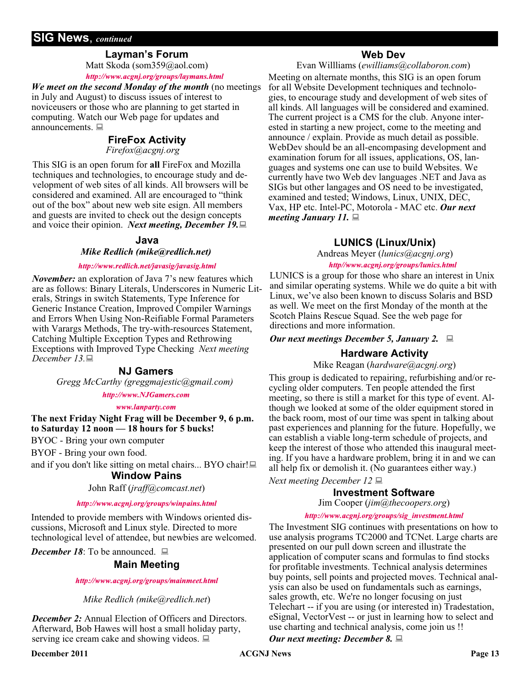#### **SIG News**, *continued*

#### **Layman's Forum**

Matt Skoda (som359@aol.com) http://www.acgnj.org/groups/laymans.html

*We meet on the second Monday of the month* (no meetings in July and August) to discuss issues of interest to noviceusers or those who are planning to get started in computing. Watch our Web page for updates and announcements.  $\blacksquare$ 

#### **FireFox Activity**

*Firefox@acgnj.org*

This SIG is an open forum for **all** FireFox and Mozilla techniques and technologies, to encourage study and development of web sites of all kinds. All browsers will be considered and examined. All are encouraged to "think out of the box" about new web site esign. All members and guests are invited to check out the design concepts and voice their opinion. *Next meeting, December 19.*

#### **Java**

*Mike Redlich (mike@redlich.net)*

#### http://www.redlich.net/javasig/javasig.html

*November:* an exploration of Java 7's new features which are as follows: Binary Literals, Underscores in Numeric Literals, Strings in switch Statements, Type Inference for Generic Instance Creation, Improved Compiler Warnings and Errors When Using Non-Reifiable Formal Parameters with Varargs Methods, The try-with-resources Statement, Catching Multiple Exception Types and Rethrowing Exceptions with Improved Type Checking *Next meeting December 13.*

#### **NJ Gamers**

*Gregg McCarthy (greggmajestic@gmail.com)*

#### http://www.NJGamers.com

#### www.lanparty.com

**The next Friday Night Frag will be December 9, 6 p.m. to Saturday 12 noon — 18 hours for 5 bucks!**

BYOC - Bring your own computer

BYOF - Bring your own food.

and if you don't like sitting on metal chairs... BYO chair!

#### **Window Pains**

#### John Raff (*jraff@comcast.net*)

#### http://www.acgnj.org/groups/winpains.html

Intended to provide members with Windows oriented discussions, Microsoft and Linux style. Directed to more technological level of attendee, but newbies are welcomed.

*December 18*: To be announced. ■

#### **Main Meeting**

http://www.acgnj.org/groups/mainmeet.html

*Mike Redlich (mike@redlich.net*)

*December 2:* Annual Election of Officers and Directors. Afterward, Bob Hawes will host a small holiday party, serving ice cream cake and showing videos.  $\Box$ 

#### **Web Dev**

Evan Willliams (*ewilliams@collaboron.com*)

Meeting on alternate months, this SIG is an open forum for all Website Development techniques and technologies, to encourage study and development of web sites of all kinds. All languages will be considered and examined. The current project is a CMS for the club. Anyone interested in starting a new project, come to the meeting and announce / explain. Provide as much detail as possible. WebDev should be an all-encompasing development and examination forum for all issues, applications, OS, languages and systems one can use to build Websites. We currently have two Web dev languages .NET and Java as SIGs but other langages and OS need to be investigated, examined and tested; Windows, Linux, UNIX, DEC, Vax, HP etc. Intel-PC, Motorola - MAC etc. *Our next meeting January 11.*

#### **LUNICS (Linux/Unix)**

Andreas Meyer (*lunics@acgnj.org*) http//www.acgnj.org/groups/lunics.html

LUNICS is a group for those who share an interest in Unix and similar operating systems. While we do quite a bit with Linux, we've also been known to discuss Solaris and BSD as well. We meet on the first Monday of the month at the Scotch Plains Rescue Squad. See the web page for directions and more information.

#### *Our next meetings December 5, January 2.*

#### **Hardware Activity**

Mike Reagan (*hardware@acgnj.org*)

This group is dedicated to repairing, refurbishing and/or recycling older computers. Ten people attended the first meeting, so there is still a market for this type of event. Although we looked at some of the older equipment stored in the back room, most of our time was spent in talking about past experiences and planning for the future. Hopefully, we can establish a viable long-term schedule of projects, and keep the interest of those who attended this inaugural meeting. If you have a hardware problem, bring it in and we can all help fix or demolish it. (No guarantees either way.)

*Next meeting December 12*

#### **Investment Software**

Jim Cooper (*jim@thecoopers.org*)

#### http://www.acgnj.org/groups/sig\_investment.html

The Investment SIG continues with presentations on how to use analysis programs TC2000 and TCNet. Large charts are presented on our pull down screen and illustrate the application of computer scans and formulas to find stocks for profitable investments. Technical analysis determines buy points, sell points and projected moves. Technical analysis can also be used on fundamentals such as earnings, sales growth, etc. We're no longer focusing on just Telechart -- if you are using (or interested in) Tradestation, eSignal, VectorVest -- or just in learning how to select and use charting and technical analysis, come join us !!

*Our next meeting: December 8.*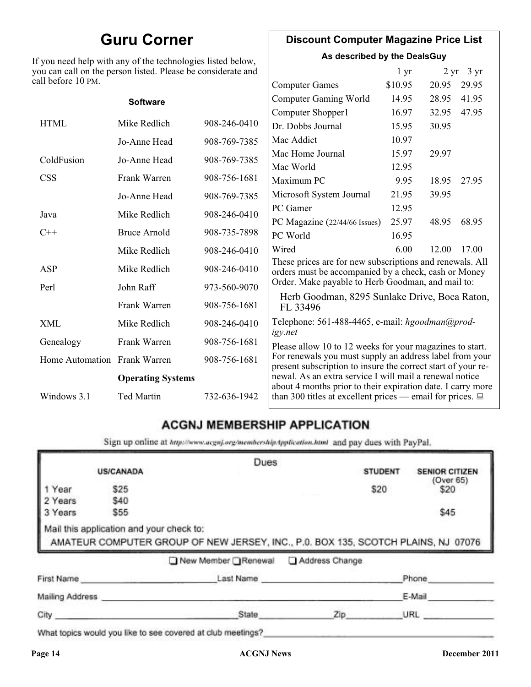## **Guru Corner**

If you need help with any of the technologies listed below, you can call on the person listed. Please be considerate and ca

### **Discount Computer Magazine Price List**

**As described by the DealsGuy**

|                              | ou can call on the person listed. Please be considerate and |              |                                                                                                                                                                                                                                                   | 1 <sub>yr</sub> |       | $2 \text{ yr}$ 3 yr |  |
|------------------------------|-------------------------------------------------------------|--------------|---------------------------------------------------------------------------------------------------------------------------------------------------------------------------------------------------------------------------------------------------|-----------------|-------|---------------------|--|
| ll before 10 PM.             |                                                             |              | <b>Computer Games</b>                                                                                                                                                                                                                             | \$10.95         | 20.95 | 29.95               |  |
|                              | <b>Software</b>                                             |              | <b>Computer Gaming World</b>                                                                                                                                                                                                                      | 14.95           | 28.95 | 41.95               |  |
|                              |                                                             |              | Computer Shopper1                                                                                                                                                                                                                                 | 16.97           | 32.95 | 47.95               |  |
| <b>HTML</b>                  | Mike Redlich                                                | 908-246-0410 | Dr. Dobbs Journal                                                                                                                                                                                                                                 | 15.95           | 30.95 |                     |  |
|                              | Jo-Anne Head                                                | 908-769-7385 | Mac Addict                                                                                                                                                                                                                                        | 10.97           |       |                     |  |
| ColdFusion                   | Jo-Anne Head                                                | 908-769-7385 | Mac Home Journal                                                                                                                                                                                                                                  | 15.97           | 29.97 |                     |  |
|                              |                                                             |              | Mac World                                                                                                                                                                                                                                         | 12.95           |       |                     |  |
| <b>CSS</b>                   | Frank Warren                                                | 908-756-1681 | Maximum PC                                                                                                                                                                                                                                        | 9.95            | 18.95 | 27.95               |  |
|                              | Jo-Anne Head                                                | 908-769-7385 | Microsoft System Journal                                                                                                                                                                                                                          | 21.95           | 39.95 |                     |  |
| Java                         | Mike Redlich                                                | 908-246-0410 | PC Gamer                                                                                                                                                                                                                                          | 12.95           |       |                     |  |
|                              |                                                             |              | PC Magazine (22/44/66 Issues)                                                                                                                                                                                                                     | 25.97           | 48.95 | 68.95               |  |
| $C++$                        | <b>Bruce Arnold</b>                                         | 908-735-7898 | PC World                                                                                                                                                                                                                                          | 16.95           |       |                     |  |
|                              | Mike Redlich                                                | 908-246-0410 | Wired                                                                                                                                                                                                                                             | 6.00            | 12.00 | 17.00               |  |
| ASP                          | Mike Redlich                                                | 908-246-0410 | These prices are for new subscriptions and renewals. All<br>orders must be accompanied by a check, cash or Money                                                                                                                                  |                 |       |                     |  |
| Perl                         | John Raff                                                   | 973-560-9070 | Order. Make payable to Herb Goodman, and mail to:                                                                                                                                                                                                 |                 |       |                     |  |
|                              | Frank Warren                                                | 908-756-1681 | Herb Goodman, 8295 Sunlake Drive, Boca Raton,<br>FL 33496                                                                                                                                                                                         |                 |       |                     |  |
| XML                          | Mike Redlich                                                | 908-246-0410 | Telephone: 561-488-4465, e-mail: hgoodman@prod-                                                                                                                                                                                                   |                 |       |                     |  |
| Genealogy                    | Frank Warren                                                | 908-756-1681 | igy.net<br>Please allow 10 to 12 weeks for your magazines to start.                                                                                                                                                                               |                 |       |                     |  |
| Home Automation Frank Warren |                                                             | 908-756-1681 | For renewals you must supply an address label from your<br>present subscription to insure the correct start of your re-<br>newal. As an extra service I will mail a renewal notice<br>about 4 months prior to their expiration date. I carry more |                 |       |                     |  |
|                              | <b>Operating Systems</b>                                    |              |                                                                                                                                                                                                                                                   |                 |       |                     |  |
| Windows 3.1                  | Ted Martin                                                  | 732-636-1942 | than 300 titles at excellent prices — email for prices. $\Box$                                                                                                                                                                                    |                 |       |                     |  |

### **ACGNJ MEMBERSHIP APPLICATION**

Sign up online at http://www.acguj.org/membershipApplication.html and pay dues with PayPal.

|                 |                  |                                                                                                                               | Dues      |                |                       |
|-----------------|------------------|-------------------------------------------------------------------------------------------------------------------------------|-----------|----------------|-----------------------|
|                 | <b>US/CANADA</b> |                                                                                                                               |           | <b>STUDENT</b> | <b>SENIOR CITIZEN</b> |
| 1 Year          | \$25             |                                                                                                                               |           | \$20           | (Over 65)<br>\$20     |
| 2 Years         | \$40             |                                                                                                                               |           |                |                       |
| 3 Years         | \$55             |                                                                                                                               |           |                | \$45                  |
|                 |                  | Mail this application and your check to:<br>AMATEUR COMPUTER GROUP OF NEW JERSEY, INC., P.0. BOX 135, SCOTCH PLAINS, NJ 07076 |           |                |                       |
|                 |                  | New Member Renewal Address Change                                                                                             |           |                |                       |
|                 | First Name       |                                                                                                                               | Last Name |                | Phone                 |
| Mailing Address |                  |                                                                                                                               |           |                | E-Mail                |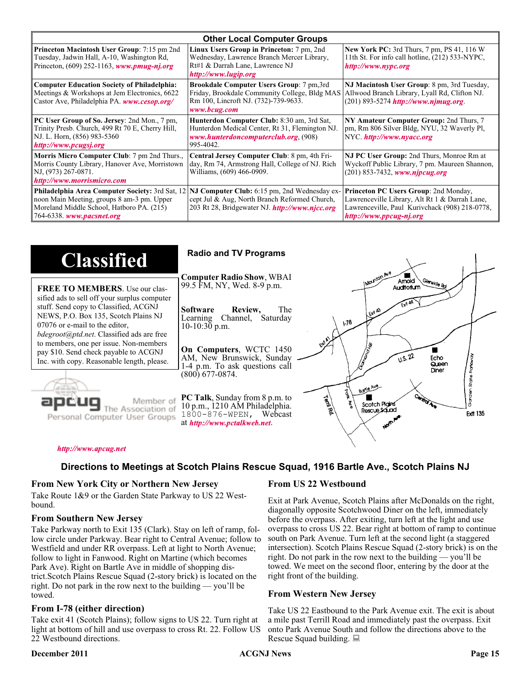| <b>Other Local Computer Groups</b>                                                                                                                                      |                                                                                                                                                           |                                                                                                                                                                      |  |  |
|-------------------------------------------------------------------------------------------------------------------------------------------------------------------------|-----------------------------------------------------------------------------------------------------------------------------------------------------------|----------------------------------------------------------------------------------------------------------------------------------------------------------------------|--|--|
| <b>Princeton Macintosh User Group:</b> 7:15 pm 2nd<br>Tuesday, Jadwin Hall, A-10, Washington Rd,<br>Princeton, $(609)$ 252-1163, www.pmug-nj.org                        | Linux Users Group in Princeton: 7 pm, 2nd<br>Wednesday, Lawrence Branch Mercer Library,<br>Rt#1 & Darrah Lane, Lawrence NJ<br>http://www.lugip.org        | <b>New York PC:</b> 3rd Thurs, 7 pm, PS 41, 116 W<br>11th St. For info call hotline, (212) 533-NYPC,<br>http://www.nvpc.org                                          |  |  |
| <b>Computer Education Society of Philadelphia:</b><br>Meetings & Workshops at Jem Electronics, 6622<br>Castor Ave, Philadelphia PA. www.cesop.org/                      | <b>Brookdale Computer Users Group:</b> 7 pm, 3rd<br>Friday, Brookdale Community College, Bldg MAS<br>Rm 100, Lincroft NJ. (732)-739-9633.<br>www.bcug.com | NJ Macintosh User Group: 8 pm, 3rd Tuesday,<br>Allwood Branch Library, Lyall Rd, Clifton NJ.<br>$(201)$ 893-5274 http://www.njmug.org.                               |  |  |
| PC User Group of So. Jersey: 2nd Mon., 7 pm,<br>Trinity Presb. Church, 499 Rt 70 E, Cherry Hill,<br>NJ. L. Horn, (856) 983-5360<br>http://www.pcugsj.org                | Hunterdon Computer Club: 8:30 am, 3rd Sat,<br>Hunterdon Medical Center, Rt 31, Flemington NJ.<br>www.hunterdoncomputerclub.org. (908)<br>995-4042.        | NY Amateur Computer Group: 2nd Thurs, 7<br>pm, Rm 806 Silver Bldg, NYU, 32 Waverly Pl,<br>NYC http://www.nyacc.org                                                   |  |  |
| Morris Micro Computer Club: 7 pm 2nd Thurs.,<br>Morris County Library, Hanover Ave, Morristown<br>NJ, (973) 267-0871.<br>http://www.morrismicro.com                     | Central Jersey Computer Club: 8 pm, 4th Fri-<br>day, Rm 74, Armstrong Hall, College of NJ. Rich<br>Williams, (609) 466-0909.                              | NJ PC User Group: 2nd Thurs, Monroe Rm at<br>Wyckoff Public Library, 7 pm. Maureen Shannon,<br>$(201)$ 853-7432, www.nipcug.org                                      |  |  |
| Philadelphia Area Computer Society: 3rd Sat, 12<br>noon Main Meeting, groups 8 am-3 pm. Upper<br>Moreland Middle School, Hatboro PA. (215)<br>764-6338. www.pacsnet.org | NJ Computer Club: 6:15 pm, 2nd Wednesday ex-<br>cept Jul & Aug, North Branch Reformed Church,<br>203 Rt 28, Bridgewater NJ. <i>http://www.njcc.org</i>    | Princeton PC Users Group: 2nd Monday,<br>Lawrenceville Library, Alt Rt 1 & Darrah Lane,<br>Lawrenceville, Paul Kurivchack (908) 218-0778,<br>http://www.ppcug-nj.org |  |  |

| <b>Classified</b>                                                                                                                                                                                                                                            | <b>Radio and TV Programs</b>                                                                                                                                                                                              |  |
|--------------------------------------------------------------------------------------------------------------------------------------------------------------------------------------------------------------------------------------------------------------|---------------------------------------------------------------------------------------------------------------------------------------------------------------------------------------------------------------------------|--|
| <b>FREE TO MEMBERS.</b> Use our clas-<br>sified ads to sell off your surplus computer<br>stuff. Send copy to Classified, ACGNJ<br>NEWS, P.O. Box 135, Scotch Plains NJ<br>07076 or e-mail to the editor,<br><i>bdegroot@ptd.net.</i> Classified ads are free | INOUNION AVE<br><b>Computer Radio Show, WBAI</b><br>Amold<br>、Glenside Rd<br>99.5 FM, NY, Wed. 8-9 p.m.<br>Auditorium<br>The<br>Software<br>Review,<br>LEXA A3<br>Learning Channel, Saturday<br>178<br>$10-10:30$ p.m.    |  |
| to members, one per issue. Non-members<br>pay \$10. Send check payable to ACGNJ<br>Inc. with copy. Reasonable length, please.                                                                                                                                | On Computers, WCTC 1450<br>0.5.22<br>AM, New Brunswick, Sunday<br>Echo<br>Queen<br>1-4 p.m. To ask questions call<br>Diner<br>$(800)$ 677-0874.<br>Store<br>Boxile Ave.                                                   |  |
| Member of<br>Personal Computer User Groups                                                                                                                                                                                                                   | Control<br><b>PC Talk, Sunday from 8 p.m. to</b><br><b>Territod</b><br>Scotch Pigins<br>10 p.m., 1210 AM Philadelphia.<br>Rescue Sound<br><b>Ext 135</b><br>$1800 - 876 - WPEN$ , Webcast<br>at http://www.pctalkweb.net. |  |

#### http://www.apcug.net

#### **Directions to Meetings at Scotch Plains Rescue Squad, 1916 Bartle Ave., Scotch Plains NJ**

#### **From New York City or Northern New Jersey**

Take Route 1&9 or the Garden State Parkway to US 22 Westbound.

#### **From Southern New Jersey**

Take Parkway north to Exit 135 (Clark). Stay on left of ramp, follow circle under Parkway. Bear right to Central Avenue; follow to Westfield and under RR overpass. Left at light to North Avenue; follow to light in Fanwood. Right on Martine (which becomes Park Ave). Right on Bartle Ave in middle of shopping district.Scotch Plains Rescue Squad (2-story brick) is located on the right. Do not park in the row next to the building — you'll be towed.

#### **From I-78 (either direction)**

Take exit 41 (Scotch Plains); follow signs to US 22. Turn right at light at bottom of hill and use overpass to cross Rt. 22. Follow US 22 Westbound directions.

#### **December 2011 CONJ News Page 15**

#### **From US 22 Westbound**

Exit at Park Avenue, Scotch Plains after McDonalds on the right, diagonally opposite Scotchwood Diner on the left, immediately before the overpass. After exiting, turn left at the light and use overpass to cross US 22. Bear right at bottom of ramp to continue south on Park Avenue. Turn left at the second light (a staggered intersection). Scotch Plains Rescue Squad (2-story brick) is on the right. Do not park in the row next to the building — you'll be towed. We meet on the second floor, entering by the door at the right front of the building.

#### **From Western New Jersey**

Take US 22 Eastbound to the Park Avenue exit. The exit is about a mile past Terrill Road and immediately past the overpass. Exit onto Park Avenue South and follow the directions above to the Rescue Squad building.